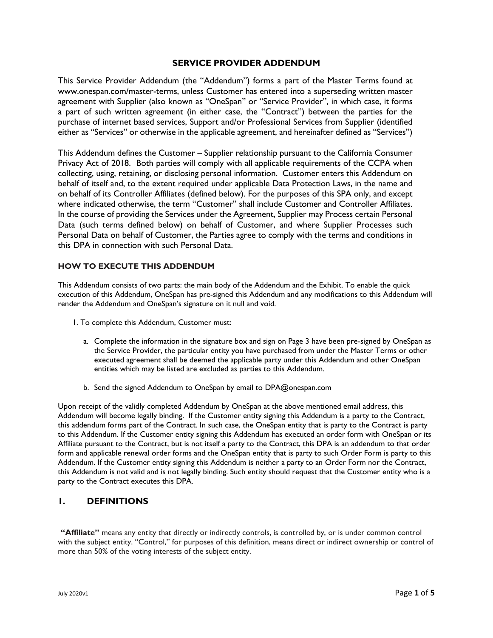#### **SERVICE PROVIDER ADDENDUM**

This Service Provider Addendum (the "Addendum") forms a part of the Master Terms found at [www.onespan.com/master-terms,](http://www.onespan.com/master-terms) unless Customer has entered into a superseding written master agreement with Supplier (also known as "OneSpan" or "Service Provider", in which case, it forms a part of such written agreement (in either case, the "Contract") between the parties for the purchase of internet based services, Support and/or Professional Services from Supplier (identified either as "Services" or otherwise in the applicable agreement, and hereinafter defined as "Services")

This Addendum defines the Customer – Supplier relationship pursuant to the California Consumer Privacy Act of 2018. Both parties will comply with all applicable requirements of the CCPA when collecting, using, retaining, or disclosing personal information. Customer enters this Addendum on behalf of itself and, to the extent required under applicable Data Protection Laws, in the name and on behalf of its Controller Affiliates (defined below). For the purposes of this SPA only, and except where indicated otherwise, the term "Customer" shall include Customer and Controller Affiliates. In the course of providing the Services under the Agreement, Supplier may Process certain Personal Data (such terms defined below) on behalf of Customer, and where Supplier Processes such Personal Data on behalf of Customer, the Parties agree to comply with the terms and conditions in this DPA in connection with such Personal Data.

#### **HOW TO EXECUTE THIS ADDENDUM**

This Addendum consists of two parts: the main body of the Addendum and the Exhibit. To enable the quick execution of this Addendum, OneSpan has pre-signed this Addendum and any modifications to this Addendum will render the Addendum and OneSpan's signature on it null and void.

- 1. To complete this Addendum, Customer must:
	- a. Complete the information in the signature box and sign on Page 3 have been pre-signed by OneSpan as the Service Provider, the particular entity you have purchased from under the Master Terms or other executed agreement shall be deemed the applicable party under this Addendum and other OneSpan entities which may be listed are excluded as parties to this Addendum.
	- b. Send the signed Addendum to OneSpan by email to DPA@onespan.com

Upon receipt of the validly completed Addendum by OneSpan at the above mentioned email address, this Addendum will become legally binding. If the Customer entity signing this Addendum is a party to the Contract, this addendum forms part of the Contract. In such case, the OneSpan entity that is party to the Contract is party to this Addendum. If the Customer entity signing this Addendum has executed an order form with OneSpan or its Affiliate pursuant to the Contract, but is not itself a party to the Contract, this DPA is an addendum to that order form and applicable renewal order forms and the OneSpan entity that is party to such Order Form is party to this Addendum. If the Customer entity signing this Addendum is neither a party to an Order Form nor the Contract, this Addendum is not valid and is not legally binding. Such entity should request that the Customer entity who is a party to the Contract executes this DPA.

### **1. DEFINITIONS**

**"Affiliate"** means any entity that directly or indirectly controls, is controlled by, or is under common control with the subject entity. "Control," for purposes of this definition, means direct or indirect ownership or control of more than 50% of the voting interests of the subject entity.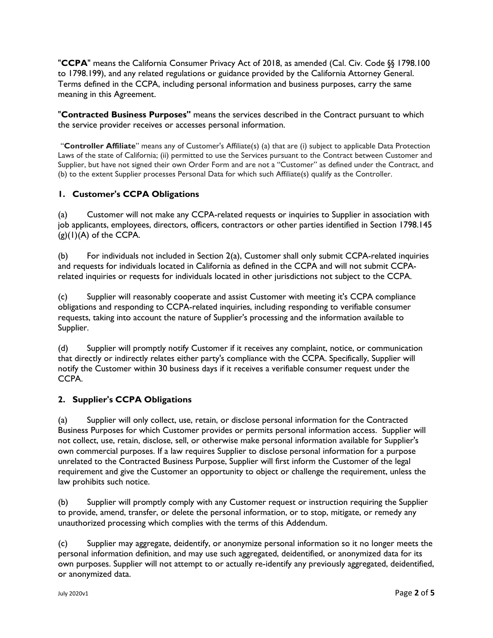"**CCPA**" means the California Consumer Privacy Act of 2018, as amended (Cal. Civ. Code §§ 1798.100 to 1798.199), and any related regulations or guidance provided by the California Attorney General. Terms defined in the CCPA, including personal information and business purposes, carry the same meaning in this Agreement.

"**Contracted Business Purposes"** means the services described in the Contract pursuant to which the service provider receives or accesses personal information.

"**Controller Affiliate**" means any of Customer's Affiliate(s) (a) that are (i) subject to applicable Data Protection Laws of the state of California; (ii) permitted to use the Services pursuant to the Contract between Customer and Supplier, but have not signed their own Order Form and are not a "Customer" as defined under the Contract, and (b) to the extent Supplier processes Personal Data for which such Affiliate(s) qualify as the Controller.

## **1. Customer's CCPA Obligations**

(a) Customer will not make any CCPA-related requests or inquiries to Supplier in association with job applicants, employees, directors, officers, contractors or other parties identified in Section 1798.145  $(g)(1)(A)$  of the CCPA.

(b) For individuals not included in Section 2(a), Customer shall only submit CCPA-related inquiries and requests for individuals located in California as defined in the CCPA and will not submit CCPArelated inquiries or requests for individuals located in other jurisdictions not subject to the CCPA.

(c) Supplier will reasonably cooperate and assist Customer with meeting it's CCPA compliance obligations and responding to CCPA-related inquiries, including responding to verifiable consumer requests, taking into account the nature of Supplier's processing and the information available to Supplier.

(d) Supplier will promptly notify Customer if it receives any complaint, notice, or communication that directly or indirectly relates either party's compliance with the CCPA. Specifically, Supplier will notify the Customer within 30 business days if it receives a verifiable consumer request under the CCPA.

### **2. Supplier's CCPA Obligations**

(a) Supplier will only collect, use, retain, or disclose personal information for the Contracted Business Purposes for which Customer provides or permits personal information access. Supplier will not collect, use, retain, disclose, sell, or otherwise make personal information available for Supplier's own commercial purposes. If a law requires Supplier to disclose personal information for a purpose unrelated to the Contracted Business Purpose, Supplier will first inform the Customer of the legal requirement and give the Customer an opportunity to object or challenge the requirement, unless the law prohibits such notice.

(b) Supplier will promptly comply with any Customer request or instruction requiring the Supplier to provide, amend, transfer, or delete the personal information, or to stop, mitigate, or remedy any unauthorized processing which complies with the terms of this Addendum.

(c) Supplier may aggregate, deidentify, or anonymize personal information so it no longer meets the personal information definition, and may use such aggregated, deidentified, or anonymized data for its own purposes. Supplier will not attempt to or actually re-identify any previously aggregated, deidentified, or anonymized data.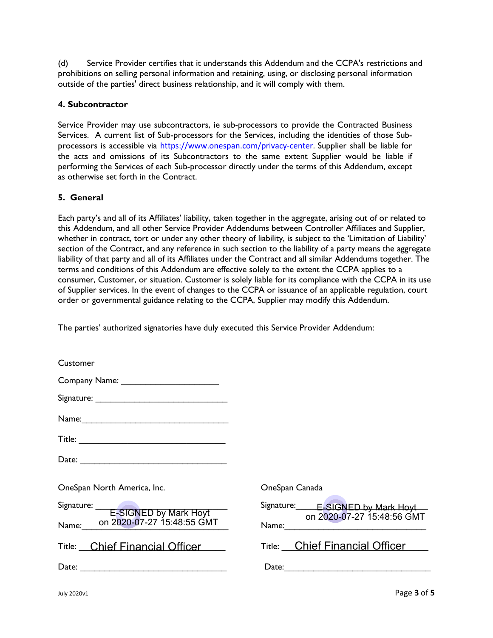(d) Service Provider certifies that it understands this Addendum and the CCPA's restrictions and prohibitions on selling personal information and retaining, using, or disclosing personal information outside of the parties' direct business relationship, and it will comply with them.

## **4. Subcontractor**

Service Provider may use subcontractors, ie sub-processors to provide the Contracted Business Services. A current list of Sub-processors for the Services, including the identities of those Subprocessors is accessible via [https://www.onespan.com/privacy-center.](https://www.onespan.com/privacy-center) Supplier shall be liable for the acts and omissions of its Subcontractors to the same extent Supplier would be liable if performing the Services of each Sub-processor directly under the terms of this Addendum, except as otherwise set forth in the Contract.

## **5. General**

Each party's and all of its Affiliates' liability, taken together in the aggregate, arising out of or related to this Addendum, and all other Service Provider Addendums between Controller Affiliates and Supplier, whether in contract, tort or under any other theory of liability, is subject to the 'Limitation of Liability' section of the Contract, and any reference in such section to the liability of a party means the aggregate liability of that party and all of its Affiliates under the Contract and all similar Addendums together. The terms and conditions of this Addendum are effective solely to the extent the CCPA applies to a consumer, Customer, or situation. Customer is solely liable for its compliance with the CCPA in its use of Supplier services. In the event of changes to the CCPA or issuance of an applicable regulation, court order or governmental guidance relating to the CCPA, Supplier may modify this Addendum.

The parties' authorized signatories have duly executed this Service Provider Addendum:

| Customer                                |                                                                                                                                                     |
|-----------------------------------------|-----------------------------------------------------------------------------------------------------------------------------------------------------|
|                                         |                                                                                                                                                     |
|                                         |                                                                                                                                                     |
|                                         |                                                                                                                                                     |
|                                         |                                                                                                                                                     |
|                                         |                                                                                                                                                     |
| OneSpan North America, Inc.             | OneSpan Canada                                                                                                                                      |
| Signature: <u>E-SIGNED</u> by Mark Hoyt | Signature: E-SIGNED by Mark Hoyt                                                                                                                    |
| Name: 0n 2020-07-27 15:48:55 GMT        | on 2020-07-27 15:48:56 GMT<br>Name: <u>Electronic Manuel Manuel Manuel Manuel Manuel Manuel Manuel Manuel Manuel Manuel Manuel Manuel Manuel Ma</u> |
| Title: Chief Financial Officer          | Title: Chief Financial Officer                                                                                                                      |
|                                         |                                                                                                                                                     |
|                                         |                                                                                                                                                     |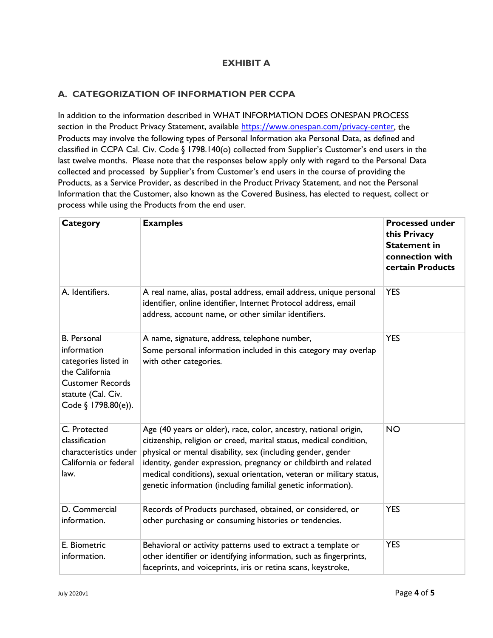## **EXHIBIT A**

## **A. CATEGORIZATION OF INFORMATION PER CCPA**

In addition to the information described in WHAT INFORMATION DOES ONESPAN PROCESS section in the Product Privacy Statement, available <https://www.onespan.com/privacy-center>, the Products may involve the following types of Personal Information aka Personal Data, as defined and classified in CCPA Cal. Civ. Code § 1798.140(o) collected from Supplier's Customer's end users in the last twelve months. Please note that the responses below apply only with regard to the Personal Data collected and processed by Supplier's from Customer's end users in the course of providing the Products, as a Service Provider, as described in the Product Privacy Statement, and not the Personal Information that the Customer, also known as the Covered Business, has elected to request, collect or process while using the Products from the end user.

| <b>Category</b>                                                                                                                                     | <b>Examples</b>                                                                                                                                                                                                                                                                                                                                                                                                     | <b>Processed under</b><br>this Privacy<br><b>Statement in</b><br>connection with<br>certain Products |
|-----------------------------------------------------------------------------------------------------------------------------------------------------|---------------------------------------------------------------------------------------------------------------------------------------------------------------------------------------------------------------------------------------------------------------------------------------------------------------------------------------------------------------------------------------------------------------------|------------------------------------------------------------------------------------------------------|
| A. Identifiers.                                                                                                                                     | A real name, alias, postal address, email address, unique personal<br>identifier, online identifier, Internet Protocol address, email<br>address, account name, or other similar identifiers.                                                                                                                                                                                                                       | <b>YES</b>                                                                                           |
| <b>B.</b> Personal<br>information<br>categories listed in<br>the California<br><b>Customer Records</b><br>statute (Cal. Civ.<br>Code § 1798.80(e)). | A name, signature, address, telephone number,<br>Some personal information included in this category may overlap<br>with other categories.                                                                                                                                                                                                                                                                          | <b>YES</b>                                                                                           |
| C. Protected<br>classification<br>characteristics under<br>California or federal<br>law.                                                            | Age (40 years or older), race, color, ancestry, national origin,<br>citizenship, religion or creed, marital status, medical condition,<br>physical or mental disability, sex (including gender, gender<br>identity, gender expression, pregnancy or childbirth and related<br>medical conditions), sexual orientation, veteran or military status,<br>genetic information (including familial genetic information). | <b>NO</b>                                                                                            |
| D. Commercial<br>information.                                                                                                                       | Records of Products purchased, obtained, or considered, or<br>other purchasing or consuming histories or tendencies.                                                                                                                                                                                                                                                                                                | <b>YES</b>                                                                                           |
| E. Biometric<br>information.                                                                                                                        | Behavioral or activity patterns used to extract a template or<br>other identifier or identifying information, such as fingerprints,<br>faceprints, and voiceprints, iris or retina scans, keystroke,                                                                                                                                                                                                                | <b>YES</b>                                                                                           |